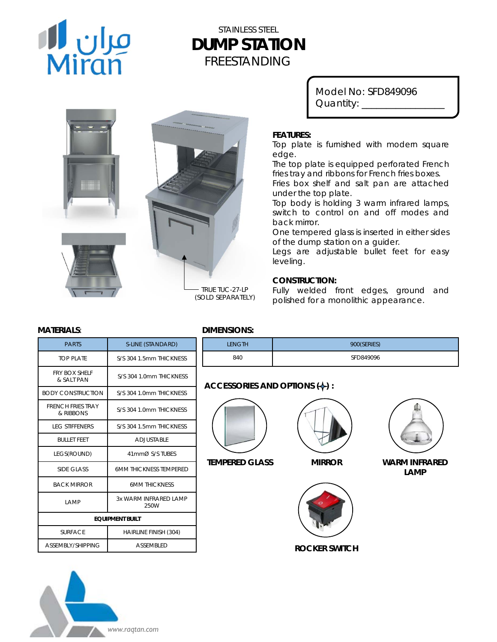

# STAINLESS STEEL **DUMP STATION** FREESTANDING





*TRUE TUC-27-LP (SOLD SEPARATELY)*

Model No: SFD849096 Quantity: \_\_\_\_\_\_\_\_\_\_\_\_\_\_\_\_\_

### **FEATURES:**

Top plate is furnished with modern square edge.

The top plate is equipped perforated French fries tray and ribbons for French fries boxes.

Fries box shelf and salt pan are attached under the top plate.

Top body is holding 3 warm infrared lamps, switch to control on and off modes and back mirror.

One tempered glass is inserted in either sides of the dump station on a guider.

Legs are adjustable bullet feet for easy leveling.

## **CONSTRUCTION:**

Fully welded front edges, ground and polished for a monolithic appearance.

| <b>PARTS</b>                          | S-LINE (STANDARD)             |
|---------------------------------------|-------------------------------|
| TOP PLATE                             | S/S 304 1 5mm THICKNESS       |
| <b>FRY BOX SHELF</b><br>& SAIT PAN    | S/S 304 1.0mm THICKNESS       |
| <b>BODY CONSTRUCTION</b>              | S/S 304 1.0mm THICKNESS       |
| <b>FRENCH FRIES TRAY</b><br>& RIBBONS | S/S 304 1.0mm THICKNESS       |
| <b>IFG STIFFFNERS</b>                 | S/S 304 1.5mm THICKNESS       |
| <b>BULLET FFFT</b>                    | ADJUSTABLE                    |
| LEGS(ROUND)                           | 41mmØ S/S TUBES               |
| SIDE GLASS                            | 6MM THICKNESS TEMPERED        |
| <b>BACK MIRROR</b>                    | <b>6MM THICKNESS</b>          |
| <b>LAMP</b>                           | 3x WARM INFRARED LAMP<br>250W |
| <b>EQUIPMENT BUILT</b>                |                               |
| <b>SURFACE</b>                        | <b>HAIRLINE FINISH (304)</b>  |
| ASSEMBLY/SHIPPING                     | <b>ASSEMBLED</b>              |



| LENGTH | 900(SERIES) |
|--------|-------------|
| 840    | SFD849096   |

# **ACCESSORIES AND OPTIONS (+):**



**TEMPERED GLASS**

**MIRROR**



**ROCKER SWITCH**



**WARM INFRARED LAMP**